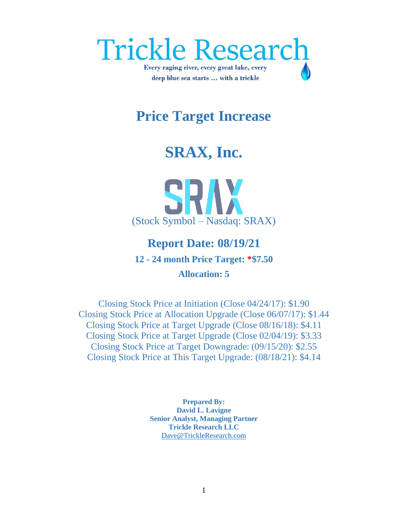

## **Price Target Increase**

## **SRAX, Inc.**

# SRAV (Stock Symbol – Nasdaq: SRAX)

### **Report Date: 08/19/21 12 - 24 month Price Target: \*\$7.50 Allocation: 5**

Closing Stock Price at Initiation (Close 04/24/17): \$1.90 Closing Stock Price at Allocation Upgrade (Close 06/07/17): \$1.44 Closing Stock Price at Target Upgrade (Close 08/16/18): \$4.11 Closing Stock Price at Target Upgrade (Close 02/04/19): \$3.33 Closing Stock Price at Target Downgrade: (09/15/20): \$2.55 Closing Stock Price at This Target Upgrade: (08/18/21): \$4.14

> **Prepared By: David L. Lavigne Senior Analyst, Managing Partner Trickle Research LLC** [Dave@TrickleResearch.com](mailto:Dave@TrickleResearch.com)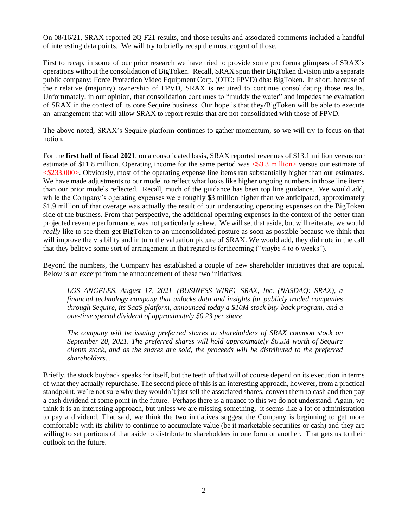On 08/16/21, SRAX reported 2Q-F21 results, and those results and associated comments included a handful of interesting data points. We will try to briefly recap the most cogent of those.

First to recap, in some of our prior research we have tried to provide some pro forma glimpses of SRAX's operations without the consolidation of BigToken. Recall, SRAX spun their BigToken division into a separate public company; Force Protection Video Equipment Corp. (OTC: FPVD) dba: BigToken. In short, because of their relative (majority) ownership of FPVD, SRAX is required to continue consolidating those results. Unfortunately, in our opinion, that consolidation continues to "muddy the water" and impedes the evaluation of SRAX in the context of its core Sequire business. Our hope is that they/BigToken will be able to execute an arrangement that will allow SRAX to report results that are not consolidated with those of FPVD.

The above noted, SRAX's Sequire platform continues to gather momentum, so we will try to focus on that notion.

For the **first half of fiscal 2021**, on a consolidated basis, SRAX reported revenues of \$13.1 million versus our estimate of \$11.8 million. Operating income for the same period was  $\leq$ \$3.3 million> versus our estimate of <\$233,000>. Obviously, most of the operating expense line items ran substantially higher than our estimates. We have made adjustments to our model to reflect what looks like higher ongoing numbers in those line items than our prior models reflected. Recall, much of the guidance has been top line guidance. We would add, while the Company's operating expenses were roughly \$3 million higher than we anticipated, approximately \$1.9 million of that overage was actually the result of our understating operating expenses on the BigToken side of the business. From that perspective, the additional operating expenses in the context of the better than projected revenue performance, was not particularly askew. We will set that aside, but will reiterate, we would *really* like to see them get BigToken to an unconsolidated posture as soon as possible because we think that will improve the visibility and in turn the valuation picture of SRAX. We would add, they did note in the call that they believe some sort of arrangement in that regard is forthcoming ("*maybe* 4 to 6 weeks").

Beyond the numbers, the Company has established a couple of new shareholder initiatives that are topical. Below is an excerpt from the announcement of these two initiatives:

*LOS ANGELES, August 17, 2021--(BUSINESS WIRE)--SRAX, Inc. (NASDAQ: SRAX), a financial technology company that unlocks data and insights for publicly traded companies through Sequire, its SaaS platform, announced today a \$10M stock buy-back program, and a one-time special dividend of approximately \$0.23 per share.*

*The company will be issuing preferred shares to shareholders of SRAX common stock on September 20, 2021. The preferred shares will hold approximately \$6.5M worth of Sequire clients stock, and as the shares are sold, the proceeds will be distributed to the preferred shareholders...*

Briefly, the stock buyback speaks for itself, but the teeth of that will of course depend on its execution in terms of what they actually repurchase. The second piece of this is an interesting approach, however, from a practical standpoint, we're not sure why they wouldn't just sell the associated shares, convert them to cash and then pay a cash dividend at some point in the future. Perhaps there is a nuance to this we do not understand. Again, we think it is an interesting approach, but unless we are missing something, it seems like a lot of administration to pay a dividend. That said, we think the two initiatives suggest the Company is beginning to get more comfortable with its ability to continue to accumulate value (be it marketable securities or cash) and they are willing to set portions of that aside to distribute to shareholders in one form or another. That gets us to their outlook on the future.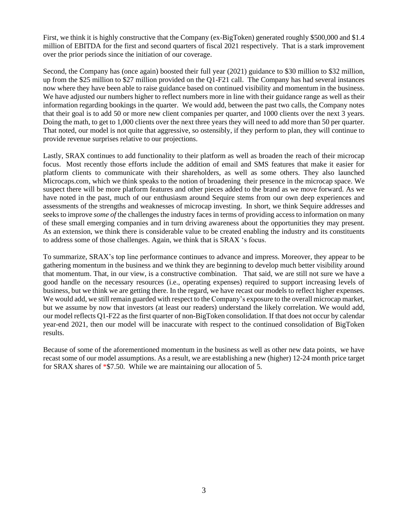First, we think it is highly constructive that the Company (ex-BigToken) generated roughly \$500,000 and \$1.4 million of EBITDA for the first and second quarters of fiscal 2021 respectively. That is a stark improvement over the prior periods since the initiation of our coverage.

Second, the Company has (once again) boosted their full year (2021) guidance to \$30 million to \$32 million, up from the \$25 million to \$27 million provided on the Q1-F21 call. The Company has had several instances now where they have been able to raise guidance based on continued visibility and momentum in the business. We have adjusted our numbers higher to reflect numbers more in line with their guidance range as well as their information regarding bookings in the quarter. We would add, between the past two calls, the Company notes that their goal is to add 50 or more new client companies per quarter, and 1000 clients over the next 3 years. Doing the math, to get to 1,000 clients over the next three years they will need to add more than 50 per quarter. That noted, our model is not quite that aggressive, so ostensibly, if they perform to plan, they will continue to provide revenue surprises relative to our projections.

Lastly, SRAX continues to add functionality to their platform as well as broaden the reach of their microcap focus. Most recently those efforts include the addition of email and SMS features that make it easier for platform clients to communicate with their shareholders, as well as some others. They also launched Microcaps.com, which we think speaks to the notion of broadening their presence in the microcap space. We suspect there will be more platform features and other pieces added to the brand as we move forward. As we have noted in the past, much of our enthusiasm around Sequire stems from our own deep experiences and assessments of the strengths and weaknesses of microcap investing. In short, we think Sequire addresses and seeks to improve *some of* the challenges the industry faces in terms of providing access to information on many of these small emerging companies and in turn driving awareness about the opportunities they may present. As an extension, we think there is considerable value to be created enabling the industry and its constituents to address some of those challenges. Again, we think that is SRAX 's focus.

To summarize, SRAX's top line performance continues to advance and impress. Moreover, they appear to be gathering momentum in the business and we think they are beginning to develop much better visibility around that momentum. That, in our view, is a constructive combination. That said, we are still not sure we have a good handle on the necessary resources (i.e., operating expenses) required to support increasing levels of business, but we think we are getting there. In the regard, we have recast our models to reflect higher expenses. We would add, we still remain guarded with respect to the Company's exposure to the overall microcap market, but we assume by now that investors (at least our readers) understand the likely correlation. We would add, our model reflects Q1-F22 as the first quarter of non-BigToken consolidation. If that does not occur by calendar year-end 2021, then our model will be inaccurate with respect to the continued consolidation of BigToken results.

Because of some of the aforementioned momentum in the business as well as other new data points, we have recast some of our model assumptions. As a result, we are establishing a new (higher) 12-24 month price target for SRAX shares of \*\$7.50. While we are maintaining our allocation of 5.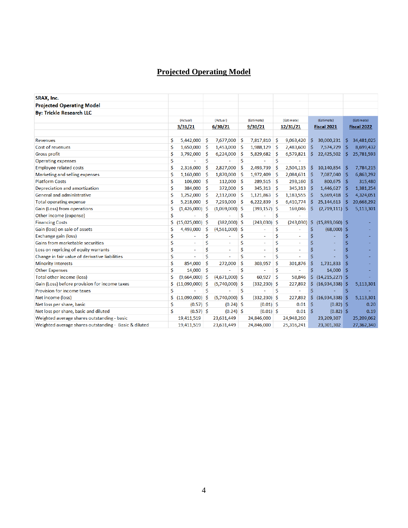#### **Projected Operating Model**

| SRAX, Inc.                                            |    |                   |         |                  |         |                 |          |            |                    |                   |             |            |  |
|-------------------------------------------------------|----|-------------------|---------|------------------|---------|-----------------|----------|------------|--------------------|-------------------|-------------|------------|--|
| <b>Projected Operating Model</b>                      |    |                   |         |                  |         |                 |          |            |                    |                   |             |            |  |
| <b>By: Trickle Research LLC</b>                       |    |                   |         |                  |         |                 |          |            |                    |                   |             |            |  |
|                                                       |    | (Actual)          |         | (Actual)         |         | (Estimate)      |          | (Estimate) |                    | (Estimate)        |             | (Estimate) |  |
|                                                       |    | 3/31/21           | 6/30/21 |                  | 9/30/21 |                 | 12/31/21 |            | <b>Fiscal 2021</b> |                   | Fiscal 2022 |            |  |
| <b>Revenues</b>                                       | \$ | 5,442,000         | -\$     | 7,677,000        | \$.     | 7,817,810       | -S       | 9,063,420  | s                  | 30,000,231        | \$.         | 34,481,025 |  |
| Cost of revenues                                      | \$ | 1,650,000         | -S      | 1,453,000        | \$      | 1,988,129       | -S       | 2,483,600  | S                  | 7,574,729         | -Ŝ          | 8,699,432  |  |
| <b>Gross profit</b>                                   | \$ | 3,792,000         | -Ŝ      | 6,224,000        | \$      | 5,829,682       | -Ŝ       | 6,579,821  | \$                 | 22,425,502        | Ŝ.          | 25,781,593 |  |
| <b>Operating expenses</b>                             | \$ |                   | \$      |                  | Ś       |                 | Ś        |            |                    |                   |             |            |  |
| <b>Employee related costs</b>                         | \$ | 2,316,000         | Ŝ       | 2,827,000        | Ś       | 2,493,739       | Ŝ        | 2,504,115  | \$                 | 10,140,854        | -\$         | 7,784,215  |  |
| Marketing and selling expenses                        | \$ | 1,160,000         | Ŝ       | 1,870,000        | \$      | 1,972,409       | Ŝ        | 2,084,631  | S                  | 7,087,040         | \$          | 6,863,292  |  |
| <b>Platform Costs</b>                                 | \$ | 106,000           | -Ś      | 112,000          | Ŝ.      | 289,515         | -\$      | 293,160    | S                  | 800,675           | -\$         | 315,480    |  |
| Depreciation and amortization                         | \$ | 384,000           | Ŝ       | 372,000          | \$      | 345,313         | <b>S</b> | 345,313    | S                  | 1,446,627         | \$.         | 1,381,254  |  |
| General and administrative                            | \$ | 1,252,000         | -Ś      | 2,112,000        | Ŝ.      | 1,121,863       | -\$      | 1,183,555  | \$.                | 5,669,418         | \$.         | 4,324,051  |  |
| <b>Total operating expense</b>                        | \$ | 5,218,000         | -Ś      | 7,293,000        | Ŝ       | 6,222,839       | -Ś       | 6,410,774  | \$                 | 25,144,613        | -S          | 20,668,292 |  |
| Gain (Loss) from operations                           | \$ | $(1,426,000)$ \$  |         | (1,069,000)      | Ŝ       | $(393, 157)$ \$ |          | 169,046    | Ś                  | $(2,719,111)$ \$  |             | 5,113,301  |  |
| Other income (expense)                                | \$ |                   | \$      |                  | \$      |                 | Ś        |            |                    |                   |             |            |  |
| <b>Financing Costs</b>                                | \$ | $(15,025,000)$ \$ |         | $(382,000)$ \$   |         | (243,030)       | -Ś       | (243,030)  | \$.                | $(15,893,060)$ \$ |             |            |  |
| Gain (loss) on sale of assets                         | \$ | 4,493,000         | \$.     | (4,561,000)      | S       | ÷,              | \$       |            | \$                 | $(68,000)$ \$     |             |            |  |
| Exchange gain (loss)                                  | \$ |                   | \$      |                  | \$      | $\sim$          | Ś        |            | Ŝ                  |                   | Ś           |            |  |
| Gains from marketable securities                      | \$ | ä,                | \$      | ۰                | \$      | ٠               | Ś        | ۰          | \$                 |                   | Ś           |            |  |
| Loss on repricing of equity warrants                  | \$ |                   | Ś       | ÷                | \$      | ۰               | Ś        |            | \$                 |                   | \$          |            |  |
| Change in fair value of derivative liabilities        | \$ |                   | \$      |                  | \$      |                 | \$       |            | S                  |                   | Ś           |            |  |
| <b>Minority Interests</b>                             | \$ | 854,000           | Ŝ       | 272,000          | Ś       | 303,957         | Ś        | 301,876    | Ś                  | 1,731,833         | Ś           |            |  |
| <b>Other Expenses</b>                                 | \$ | 14,000            | -Ś      |                  | Ś       |                 | \$       |            | Ś                  | 14,000            | -Ś          |            |  |
| <b>Total other income (loss)</b>                      | \$ | $(9,664,000)$ \$  |         | $(4,671,000)$ \$ |         | 60,927          | \$       | 58,846     | \$                 | $(14,215,227)$ \$ |             |            |  |
| Gain (Loss) before provision for income taxes         | \$ | $(11,090,000)$ \$ |         | $(5,740,000)$ \$ |         | $(332, 230)$ \$ |          | 227,892    | Ś.                 | $(16,934,338)$ \$ |             | 5,113,301  |  |
| Provision for income taxes                            | \$ |                   | Ś       |                  | Ś       |                 | Ś        |            | Ś                  |                   | Ŝ           |            |  |
| Net income (loss)                                     | Ś  | $(11,090,000)$ \$ |         | $(5,740,000)$ \$ |         | $(332, 230)$ \$ |          | 227,892    | Ś.                 | (16,934,338)      | -S          | 5,113,301  |  |
| Net loss per share, basic                             | \$ | $(0.57)$ \$       |         | $(0.24)$ \$      |         | $(0.01)$ \$     |          | 0.01       | \$                 | $(0.82)$ \$       |             | 0.20       |  |
| Net loss per share, basic and diluted                 | Ś  | $(0.57)$ \$       |         | $(0.24)$ \$      |         | $(0.01)$ \$     |          | 0.01       | Ŝ                  | $(0.82)$ \$       |             | 0.19       |  |
| Weighted average shares outstanding - basic           |    | 19,411,519        |         | 23,631,449       |         | 24,846,000      |          | 24,948,260 |                    | 23,209,307        |             | 25,209,062 |  |
| Weighted average shares outstanding - Basic & diluted |    | 19,411,519        |         | 23,631,449       |         | 24,846,000      |          | 25,316,241 |                    | 23,301,302        |             | 27,362,340 |  |